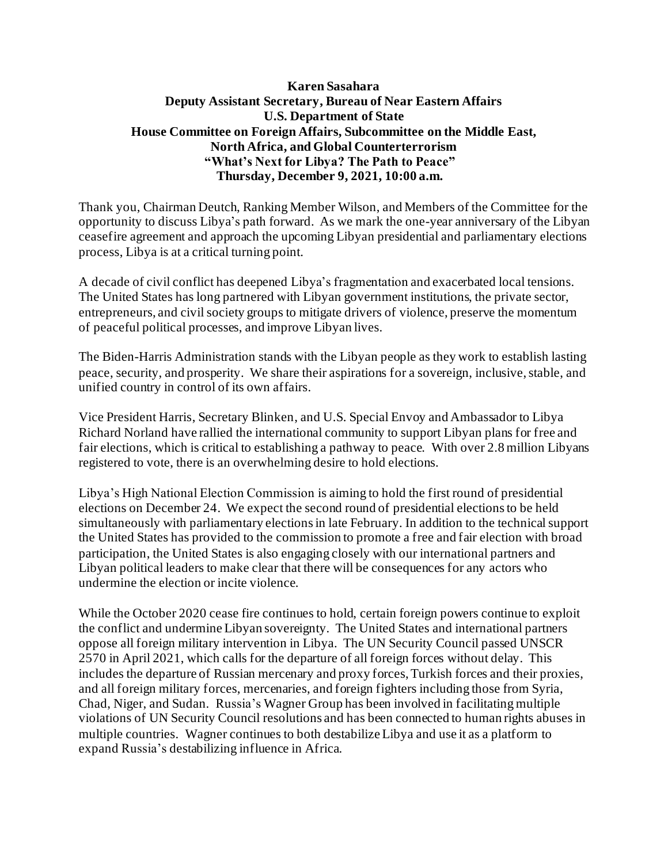## **Karen Sasahara Deputy Assistant Secretary, Bureau of Near Eastern Affairs U.S. Department of State House Committee on Foreign Affairs, Subcommittee on the Middle East, North Africa, and Global Counterterrorism "What's Next for Libya? The Path to Peace" Thursday, December 9, 2021, 10:00 a.m.**

Thank you, Chairman Deutch, Ranking Member Wilson, and Members of the Committee for the opportunity to discuss Libya's path forward. As we mark the one-year anniversary of the Libyan ceasefire agreement and approach the upcoming Libyan presidential and parliamentary elections process, Libya is at a critical turning point.

A decade of civil conflict has deepened Libya's fragmentation and exacerbated local tensions. The United States has long partnered with Libyan government institutions, the private sector, entrepreneurs, and civil society groups to mitigate drivers of violence, preserve the momentum of peaceful political processes, and improve Libyan lives.

The Biden-Harris Administration stands with the Libyan people as they work to establish lasting peace, security, and prosperity. We share their aspirations for a sovereign, inclusive, stable, and unified country in control of its own affairs.

Vice President Harris, Secretary Blinken, and U.S. Special Envoy and Ambassador to Libya Richard Norland have rallied the international community to support Libyan plans for free and fair elections, which is critical to establishing a pathway to peace. With over 2.8 million Libyans registered to vote, there is an overwhelming desire to hold elections.

Libya's High National Election Commission is aiming to hold the first round of presidential elections on December 24. We expect the second round of presidential elections to be held simultaneously with parliamentary elections in late February. In addition to the technical support the United States has provided to the commission to promote a free and fair election with broad participation, the United States is also engaging closely with our international partners and Libyan political leaders to make clear that there will be consequences for any actors who undermine the election or incite violence.

While the October 2020 cease fire continues to hold, certain foreign powers continue to exploit the conflict and undermine Libyan sovereignty. The United States and international partners oppose all foreign military intervention in Libya. The UN Security Council passed UNSCR 2570 in April 2021, which calls for the departure of all foreign forces without delay. This includes the departure of Russian mercenary and proxy forces, Turkish forces and their proxies, and all foreign military forces, mercenaries, and foreign fighters including those from Syria, Chad, Niger, and Sudan. Russia's Wagner Group has been involved in facilitating multiple violations of UN Security Council resolutions and has been connected to human rights abuses in multiple countries. Wagner continues to both destabilize Libya and use it as a platform to expand Russia's destabilizing influence in Africa.